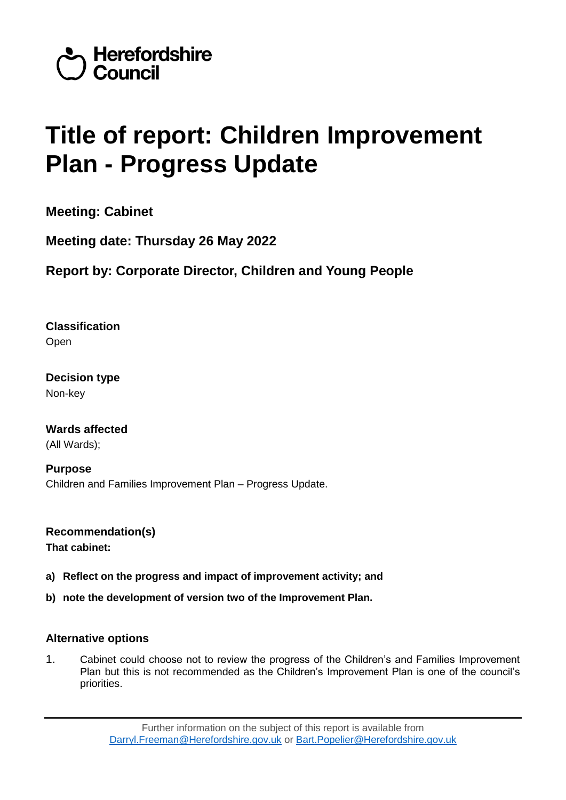

# **Title of report: Children Improvement Plan - Progress Update**

**Meeting: Cabinet**

**Meeting date: Thursday 26 May 2022**

**Report by: Corporate Director, Children and Young People**

**Classification** Open

**Decision type** Non-key

**Wards affected**  (All Wards);

**Purpose**  Children and Families Improvement Plan – Progress Update.

**Recommendation(s) That cabinet:**

- **a) Reflect on the progress and impact of improvement activity; and**
- **b) note the development of version two of the Improvement Plan.**

# **Alternative options**

1. Cabinet could choose not to review the progress of the Children's and Families Improvement Plan but this is not recommended as the Children's Improvement Plan is one of the council's priorities.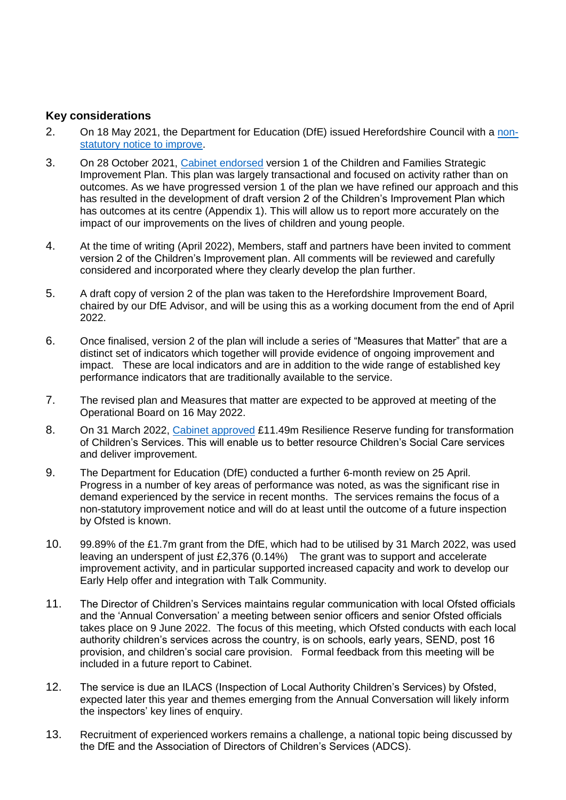# **Key considerations**

- 2. On 18 May 2021, the Department for Education (DfE) issued Herefordshire Council with a [non](https://assets.publishing.service.gov.uk/government/uploads/system/uploads/attachment_data/file/987553/Herefordshire_Council_improvement_notice.pdf)[statutory notice to improve.](https://assets.publishing.service.gov.uk/government/uploads/system/uploads/attachment_data/file/987553/Herefordshire_Council_improvement_notice.pdf)
- 3. On 28 October 2021, [Cabinet endorsed](https://councillors.herefordshire.gov.uk/ieListDocuments.aspx?CId=251&MId=8142&Ver=4) version 1 of the Children and Families Strategic Improvement Plan. This plan was largely transactional and focused on activity rather than on outcomes. As we have progressed version 1 of the plan we have refined our approach and this has resulted in the development of draft version 2 of the Children's Improvement Plan which has outcomes at its centre (Appendix 1). This will allow us to report more accurately on the impact of our improvements on the lives of children and young people.
- 4. At the time of writing (April 2022), Members, staff and partners have been invited to comment version 2 of the Children's Improvement plan. All comments will be reviewed and carefully considered and incorporated where they clearly develop the plan further.
- 5. A draft copy of version 2 of the plan was taken to the Herefordshire Improvement Board, chaired by our DfE Advisor, and will be using this as a working document from the end of April 2022.
- 6. Once finalised, version 2 of the plan will include a series of "Measures that Matter" that are a distinct set of indicators which together will provide evidence of ongoing improvement and impact. These are local indicators and are in addition to the wide range of established key performance indicators that are traditionally available to the service.
- 7. The revised plan and Measures that matter are expected to be approved at meeting of the Operational Board on 16 May 2022.
- 8. On 31 March 2022, [Cabinet approved](https://councillors.herefordshire.gov.uk/ieListDocuments.aspx?CId=251&MId=8692&Ver=4) £11.49m Resilience Reserve funding for transformation of Children's Services. This will enable us to better resource Children's Social Care services and deliver improvement.
- 9. The Department for Education (DfE) conducted a further 6-month review on 25 April. Progress in a number of key areas of performance was noted, as was the significant rise in demand experienced by the service in recent months. The services remains the focus of a non-statutory improvement notice and will do at least until the outcome of a future inspection by Ofsted is known.
- 10. 99.89% of the £1.7m grant from the DfE, which had to be utilised by 31 March 2022, was used leaving an underspent of just £2,376 (0.14%) The grant was to support and accelerate improvement activity, and in particular supported increased capacity and work to develop our Early Help offer and integration with Talk Community.
- 11. The Director of Children's Services maintains regular communication with local Ofsted officials and the 'Annual Conversation' a meeting between senior officers and senior Ofsted officials takes place on 9 June 2022. The focus of this meeting, which Ofsted conducts with each local authority children's services across the country, is on schools, early years, SEND, post 16 provision, and children's social care provision. Formal feedback from this meeting will be included in a future report to Cabinet.
- 12. The service is due an ILACS (Inspection of Local Authority Children's Services) by Ofsted, expected later this year and themes emerging from the Annual Conversation will likely inform the inspectors' key lines of enquiry.
- 13. Recruitment of experienced workers remains a challenge, a national topic being discussed by the DfE and the Association of Directors of Children's Services (ADCS).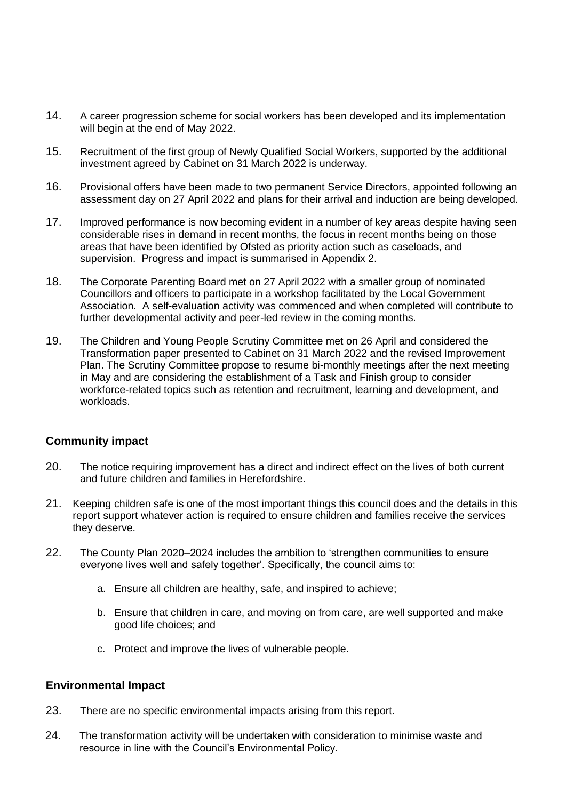- 14. A career progression scheme for social workers has been developed and its implementation will begin at the end of May 2022.
- 15. Recruitment of the first group of Newly Qualified Social Workers, supported by the additional investment agreed by Cabinet on 31 March 2022 is underway.
- 16. Provisional offers have been made to two permanent Service Directors, appointed following an assessment day on 27 April 2022 and plans for their arrival and induction are being developed.
- 17. Improved performance is now becoming evident in a number of key areas despite having seen considerable rises in demand in recent months, the focus in recent months being on those areas that have been identified by Ofsted as priority action such as caseloads, and supervision. Progress and impact is summarised in Appendix 2.
- 18. The Corporate Parenting Board met on 27 April 2022 with a smaller group of nominated Councillors and officers to participate in a workshop facilitated by the Local Government Association. A self-evaluation activity was commenced and when completed will contribute to further developmental activity and peer-led review in the coming months.
- 19. The Children and Young People Scrutiny Committee met on 26 April and considered the Transformation paper presented to Cabinet on 31 March 2022 and the revised Improvement Plan. The Scrutiny Committee propose to resume bi-monthly meetings after the next meeting in May and are considering the establishment of a Task and Finish group to consider workforce-related topics such as retention and recruitment, learning and development, and workloads.

# **Community impact**

- 20. The notice requiring improvement has a direct and indirect effect on the lives of both current and future children and families in Herefordshire.
- 21. Keeping children safe is one of the most important things this council does and the details in this report support whatever action is required to ensure children and families receive the services they deserve.
- 22. The County Plan 2020–2024 includes the ambition to 'strengthen communities to ensure everyone lives well and safely together'. Specifically, the council aims to:
	- a. Ensure all children are healthy, safe, and inspired to achieve;
	- b. Ensure that children in care, and moving on from care, are well supported and make good life choices; and
	- c. Protect and improve the lives of vulnerable people.

#### **Environmental Impact**

- 23. There are no specific environmental impacts arising from this report.
- 24. The transformation activity will be undertaken with consideration to minimise waste and resource in line with the Council's Environmental Policy.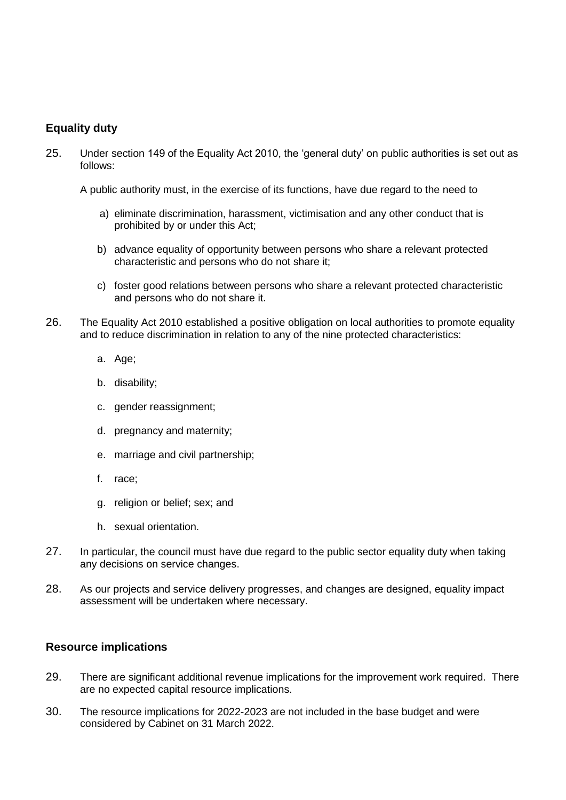# **Equality duty**

25. Under section 149 of the Equality Act 2010, the 'general duty' on public authorities is set out as follows:

A public authority must, in the exercise of its functions, have due regard to the need to

- a) eliminate discrimination, harassment, victimisation and any other conduct that is prohibited by or under this Act;
- b) advance equality of opportunity between persons who share a relevant protected characteristic and persons who do not share it;
- c) foster good relations between persons who share a relevant protected characteristic and persons who do not share it.
- 26. The Equality Act 2010 established a positive obligation on local authorities to promote equality and to reduce discrimination in relation to any of the nine protected characteristics:
	- a. Age;
	- b. disability;
	- c. gender reassignment;
	- d. pregnancy and maternity;
	- e. marriage and civil partnership;
	- f. race;
	- g. religion or belief; sex; and
	- h. sexual orientation.
- 27. In particular, the council must have due regard to the public sector equality duty when taking any decisions on service changes.
- 28. As our projects and service delivery progresses, and changes are designed, equality impact assessment will be undertaken where necessary.

#### **Resource implications**

- 29. There are significant additional revenue implications for the improvement work required. There are no expected capital resource implications.
- 30. The resource implications for 2022-2023 are not included in the base budget and were considered by Cabinet on 31 March 2022.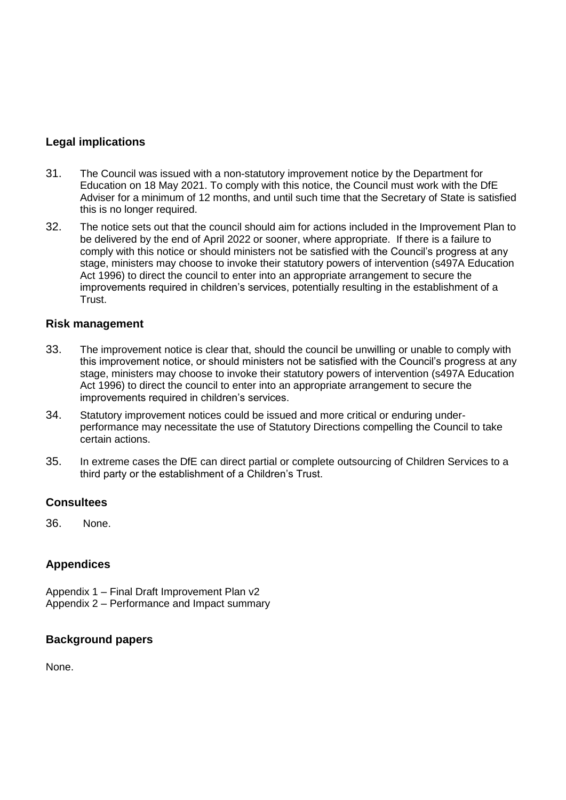# **Legal implications**

- 31. The Council was issued with a non-statutory improvement notice by the Department for Education on 18 May 2021. To comply with this notice, the Council must work with the DfE Adviser for a minimum of 12 months, and until such time that the Secretary of State is satisfied this is no longer required.
- 32. The notice sets out that the council should aim for actions included in the Improvement Plan to be delivered by the end of April 2022 or sooner, where appropriate. If there is a failure to comply with this notice or should ministers not be satisfied with the Council's progress at any stage, ministers may choose to invoke their statutory powers of intervention (s497A Education Act 1996) to direct the council to enter into an appropriate arrangement to secure the improvements required in children's services, potentially resulting in the establishment of a **Trust**

#### **Risk management**

- 33. The improvement notice is clear that, should the council be unwilling or unable to comply with this improvement notice, or should ministers not be satisfied with the Council's progress at any stage, ministers may choose to invoke their statutory powers of intervention (s497A Education Act 1996) to direct the council to enter into an appropriate arrangement to secure the improvements required in children's services.
- 34. Statutory improvement notices could be issued and more critical or enduring underperformance may necessitate the use of Statutory Directions compelling the Council to take certain actions.
- 35. In extreme cases the DfE can direct partial or complete outsourcing of Children Services to a third party or the establishment of a Children's Trust.

#### **Consultees**

36. None.

# **Appendices**

Appendix 1 – Final Draft Improvement Plan v2 Appendix 2 – Performance and Impact summary

#### **Background papers**

None.